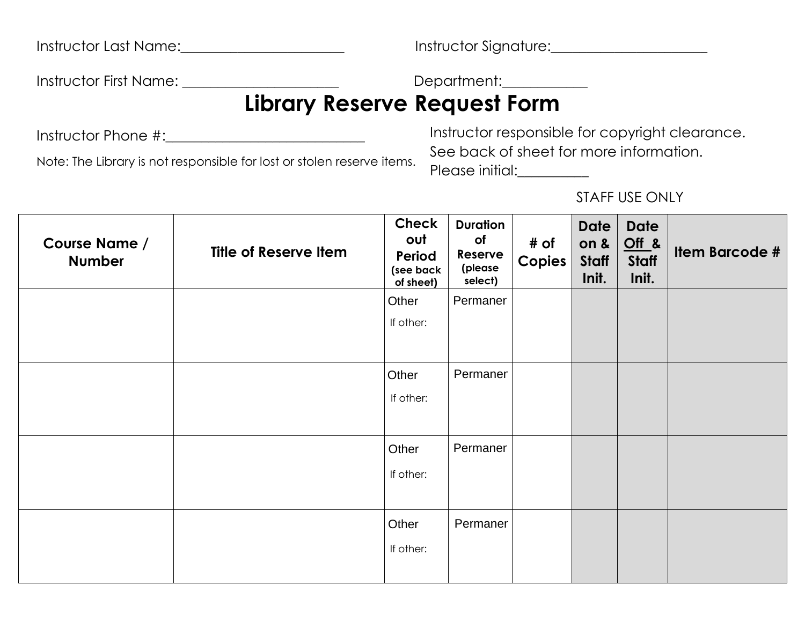|  | <b>Instructor Last Name:</b> |
|--|------------------------------|
|--|------------------------------|

Instructor Last Name:\_\_\_\_\_\_\_\_\_\_\_\_\_\_\_\_\_\_\_\_\_\_\_ Instructor Signature:\_\_\_\_\_\_\_\_\_\_\_\_\_\_\_\_\_\_\_\_\_\_

Instructor First Name: \_\_\_\_\_\_\_\_\_\_\_\_\_\_\_\_\_\_\_\_\_\_\_\_\_\_\_\_\_\_\_\_Department:\_\_\_\_\_\_\_\_\_\_\_\_\_\_

# **Library Reserve Request Form**

Instructor Phone #:\_\_\_\_\_\_\_\_\_\_\_\_\_\_\_\_\_\_\_\_\_\_\_\_\_\_\_\_

Note: The Library is not responsible for lost or stolen reserve items.

Instructor responsible for copyright clearance. See back of sheet for more information. Please initial:

STAFF USE ONLY

| <b>Course Name /</b><br><b>Number</b> | <b>Title of Reserve Item</b> | Check<br>out<br>Period<br>(see back<br>of sheet) | <b>Duration</b><br>of<br>Reserve<br>(please<br>select) | # of<br>Copies | <b>Date</b><br>on $\boldsymbol{\&}$<br>Staff<br>Init. | <b>Date</b><br>$Off$ &<br><b>Staff</b><br>Init. | <b>Item Barcode #</b> |
|---------------------------------------|------------------------------|--------------------------------------------------|--------------------------------------------------------|----------------|-------------------------------------------------------|-------------------------------------------------|-----------------------|
|                                       |                              | Other                                            | Permaner                                               |                |                                                       |                                                 |                       |
|                                       |                              | If other:                                        |                                                        |                |                                                       |                                                 |                       |
|                                       |                              |                                                  |                                                        |                |                                                       |                                                 |                       |
|                                       |                              | Other                                            | Permaner                                               |                |                                                       |                                                 |                       |
|                                       |                              | If other:                                        |                                                        |                |                                                       |                                                 |                       |
|                                       |                              |                                                  |                                                        |                |                                                       |                                                 |                       |
|                                       |                              | Other                                            | Permaner                                               |                |                                                       |                                                 |                       |
|                                       |                              | If other:                                        |                                                        |                |                                                       |                                                 |                       |
|                                       |                              |                                                  |                                                        |                |                                                       |                                                 |                       |
|                                       |                              | Other                                            | Permaner                                               |                |                                                       |                                                 |                       |
|                                       |                              | If other:                                        |                                                        |                |                                                       |                                                 |                       |
|                                       |                              |                                                  |                                                        |                |                                                       |                                                 |                       |